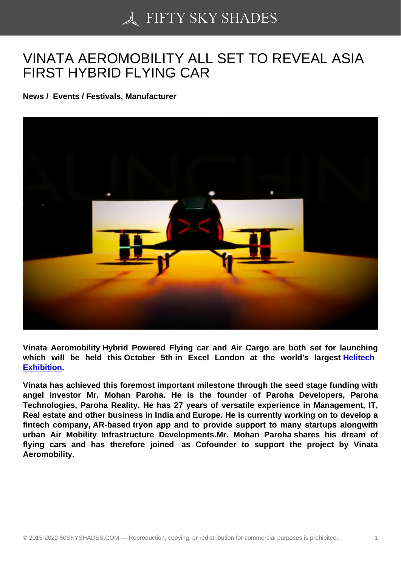## [VINATA AEROMOBILI](https://50skyshades.com)TY ALL SET TO REVEAL ASIA FIRST HYBRID FLYING CAR

News / Events / Festivals, Manufacturer

Vinata Aeromobility Hybrid Powered Flying car and Air Cargo are both set for launching which will be held this October 5th in Excel London at the world's largest Helitech Exhibition .

Vinata has achieved this foremost important milestone through the seed stage funding with angel investor Mr. Mohan Paroha. He is the founder of Paroha Developers, Pa[roha](https://www.linkedin.com/company/vtolexpo/)  [Technologi](https://www.linkedin.com/company/vtolexpo/)es, Paroha Reality. He has 27 years of versatile experience in Management, IT, Real estate and other business in India and Europe. He is currently working on to develop a fintech company, AR-based tryon app and to provide support to many startups alongwith urban Air Mobility Infrastructure Developments.Mr. Mohan Paroha shares his dream of flying cars and has therefore joined as Cofounder to support the project by Vinata Aeromobility.